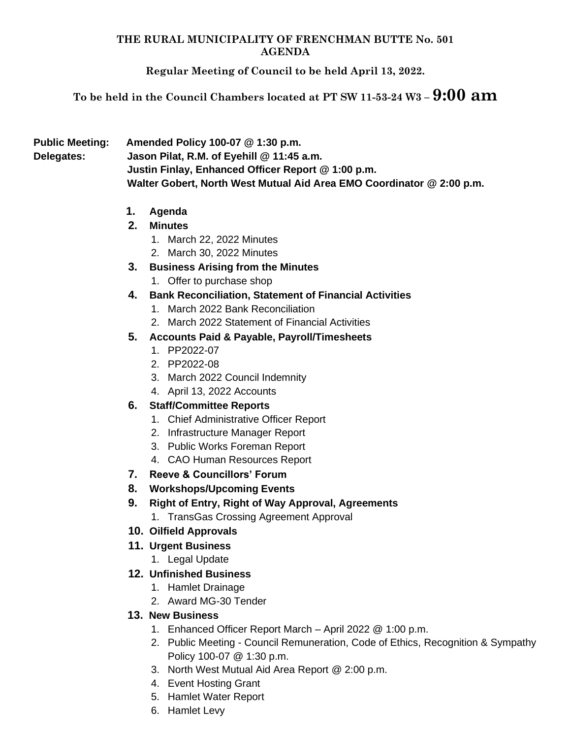#### **THE RURAL MUNICIPALITY OF FRENCHMAN BUTTE No. 501 AGENDA**

**Regular Meeting of Council to be held April 13, 2022.**

**To be held in the Council Chambers located at PT SW 11-53-24 W3 – 9:00 am**

**Public Meeting: Amended Policy 100-07 @ 1:30 p.m. Delegates: Jason Pilat, R.M. of Eyehill @ 11:45 a.m. Justin Finlay, Enhanced Officer Report @ 1:00 p.m. Walter Gobert, North West Mutual Aid Area EMO Coordinator @ 2:00 p.m.**

**1. Agenda**

# **2. Minutes**

- 1. March 22, 2022 Minutes
- 2. March 30, 2022 Minutes
- **3. Business Arising from the Minutes**
	- 1. Offer to purchase shop
- **4. Bank Reconciliation, Statement of Financial Activities**
	- 1. March 2022 Bank Reconciliation
	- 2. March 2022 Statement of Financial Activities

# **5. Accounts Paid & Payable, Payroll/Timesheets**

- 1. PP2022-07
- 2. PP2022-08
- 3. March 2022 Council Indemnity
- 4. April 13, 2022 Accounts

# **6. Staff/Committee Reports**

- 1. Chief Administrative Officer Report
- 2. Infrastructure Manager Report
- 3. Public Works Foreman Report
- 4. CAO Human Resources Report
- **7. Reeve & Councillors' Forum**
- **8. Workshops/Upcoming Events**
- **9. Right of Entry, Right of Way Approval, Agreements**
	- 1. TransGas Crossing Agreement Approval
- **10. Oilfield Approvals**
- **11. Urgent Business**
	- 1. Legal Update

# **12. Unfinished Business**

- 1. Hamlet Drainage
- 2. Award MG-30 Tender

# **13. New Business**

- 1. Enhanced Officer Report March April 2022 @ 1:00 p.m.
- 2. Public Meeting Council Remuneration, Code of Ethics, Recognition & Sympathy Policy 100-07 @ 1:30 p.m.
- 3. North West Mutual Aid Area Report @ 2:00 p.m.
- 4. Event Hosting Grant
- 5. Hamlet Water Report
- 6. Hamlet Levy